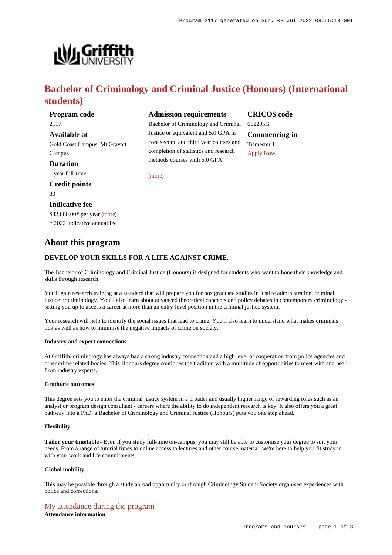

# **Bachelor of Criminology and Criminal Justice (Honours) (International students)**

| Program code                  | <b>Admission requirement</b>                                                                        |
|-------------------------------|-----------------------------------------------------------------------------------------------------|
| 2117                          | Bachelor of Criminology and C                                                                       |
| Available at                  | Justice or equivalent and 5.0 G                                                                     |
| Gold Coast Campus, Mt Gravatt | core second and third year cour<br>completion of statistics and res<br>methods courses with 5.0 GPA |
| Campus                        |                                                                                                     |
| <b>Duration</b>               |                                                                                                     |
| 1 year full-time              | (more)                                                                                              |
| <b>Credit points</b>          |                                                                                                     |
| 80                            |                                                                                                     |
| Indicative fee                |                                                                                                     |
| \$32,000.00* per year (more)  |                                                                                                     |
| * 2022 indicative annual fee  |                                                                                                     |
|                               |                                                                                                     |

# **Admission requirements**

achelor of Criminology and Criminal stice or equivalent and 5.0 GPA in re second and third year courses and mpletion of statistics and research **CRICOS code** 062205G **Commencing in** Trimester 1 [Apply Now](https://www148.griffith.edu.au/programs-courses/Program/2117/HowToApply/International#process)

# **DEVELOP YOUR SKILLS FOR A LIFE AGAINST CRIME.**

The Bachelor of Criminology and Criminal Justice (Honours) is designed for students who want to hone their knowledge and skills through research.

You'll gain research training at a standard that will prepare you for postgraduate studies in justice administration, criminal justice or criminology. You'll also learn about advanced theoretical concepts and policy debates in contemporary criminology setting you up to access a career at more than an entry-level position in the criminal justice system.

Your research will help to identify the social issues that lead to crime. You'll also learn to understand what makes criminals tick as well as how to minimise the negative impacts of crime on society.

## **Industry and expert connections**

**About this program**

At Griffith, criminology has always had a strong industry connection and a high level of cooperation from police agencies and other crime related bodies. This Honours degree continues the tradition with a multitude of opportunities to meet with and hear from industry experts.

#### **Graduate outcomes**

This degree sets you to enter the criminal justice system in a broader and usually higher range of rewarding roles such as an analyst or program design consultant - careers where the ability to do independent research is key. It also offers you a great pathway into a PhD, a Bachelor of Criminology and Criminal Justice (Honours) puts you one step ahead.

#### **Flexibility**

**Tailor your timetable** - Even if you study full-time on-campus, you may still be able to customise your degree to suit your needs. From a range of tutorial times to online access to lectures and other course material, we're here to help you fit study in with your work and life commitments.

#### **Global mobility**

This may be possible through a study abroad opportunity or through Criminology Student Society organised experiences with police and corrections.

# [My attendance during the program](https://www148.griffith.edu.au/programs-courses/Program/2117/Overview/International#attendance) **Attendance information**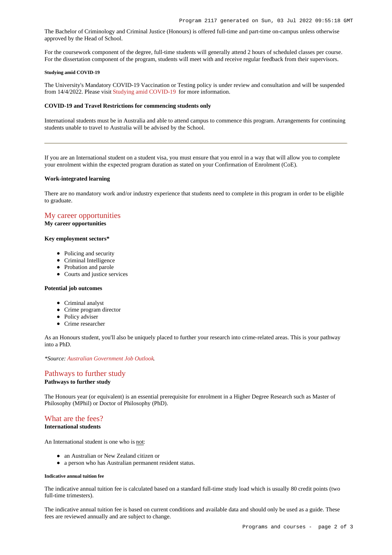The Bachelor of Criminology and Criminal Justice (Honours) is offered full-time and part-time on-campus unless otherwise approved by the Head of School.

For the coursework component of the degree, full-time students will generally attend 2 hours of scheduled classes per course. For the dissertation component of the program, students will meet with and receive regular feedback from their supervisors.

#### **Studying amid COVID-19**

The University's Mandatory COVID-19 Vaccination or Testing policy is under review and consultation and will be suspended from 14/4/2022. Please visit [Studying amid COVID-19](https://www.griffith.edu.au/coronavirus/studying-amid-covid-19) for more information.

# **COVID-19 and Travel Restrictions for commencing students only**

International students must be in Australia and able to attend campus to commence this program. Arrangements for continuing students unable to travel to Australia will be advised by the School.

If you are an International student on a student visa, you must ensure that you enrol in a way that will allow you to complete your enrolment within the expected program duration as stated on your Confirmation of Enrolment (CoE).

#### **Work-integrated learning**

There are no mandatory work and/or industry experience that students need to complete in this program in order to be eligible to graduate.

# [My career opportunities](https://www148.griffith.edu.au/programs-courses/Program/2117/Overview/International#opportunities)

# **My career opportunities**

#### **Key employment sectors\***

- Policing and security
- Criminal Intelligence
- Probation and parole
- Courts and justice services

## **Potential job outcomes**

- Criminal analyst
- Crime program director
- Policy adviser
- Crime researcher

As an Honours student, you'll also be uniquely placed to further your research into crime-related areas. This is your pathway into a PhD.

*\*Source: [Australian Government Job Outlook](https://joboutlook.gov.au/).*

# [Pathways to further study](https://www148.griffith.edu.au/programs-courses/Program/2117/Overview/International#pathways)

**Pathways to further study**

The Honours year (or equivalent) is an essential prerequisite for enrolment in a Higher Degree Research such as Master of Philosophy (MPhil) or Doctor of Philosophy (PhD).

# [What are the fees?](https://www148.griffith.edu.au/programs-courses/Program/2117/Overview/International#fees)

## **International students**

An International student is one who is not:

- an Australian or New Zealand citizen or
- a person who has Australian permanent resident status.

#### **Indicative annual tuition fee**

The indicative annual tuition fee is calculated based on a standard full-time study load which is usually 80 credit points (two full-time trimesters).

The indicative annual tuition fee is based on current conditions and available data and should only be used as a guide. These fees are reviewed annually and are subject to change.